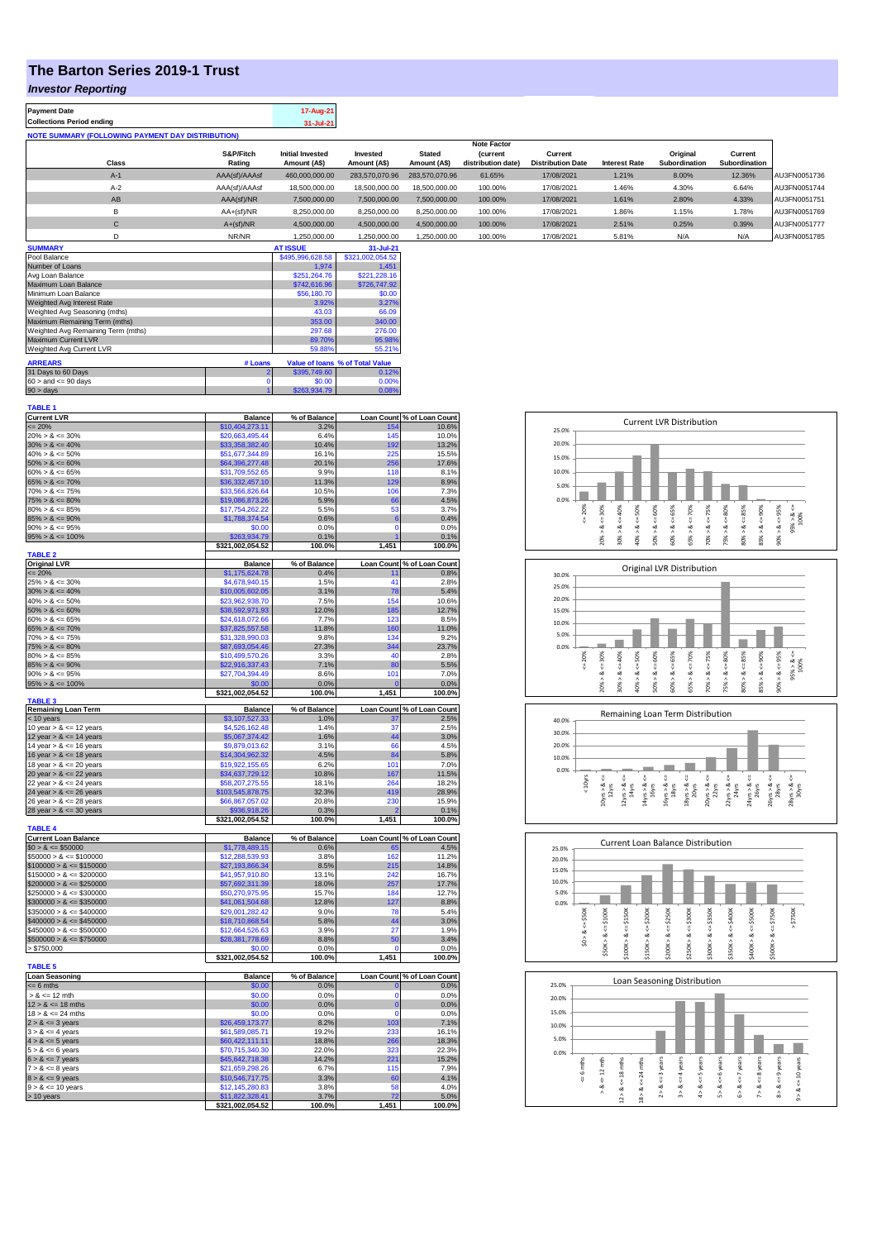## **The Barton Series 2019-1 Trust**

# *Investor Reporting*

| <b>Payment Date</b>                                      | 17-Aug-21 |
|----------------------------------------------------------|-----------|
| <b>Collections Period ending</b>                         | 31-Jul-21 |
| <b>NOTE SUMMARY (FOLLOWING PAYMENT DAY DISTRIBUTION)</b> |           |
|                                                          |           |

|              |               |                         |                |                | <b>Note Factor</b> |                          |               |               |               |              |
|--------------|---------------|-------------------------|----------------|----------------|--------------------|--------------------------|---------------|---------------|---------------|--------------|
|              | S&P/Fitch     | <b>Initial Invested</b> | Invested       | <b>Stated</b>  | <i>(current</i>    | Current                  |               | Original      | Current       |              |
| <b>Class</b> | Rating        | Amount (A\$)            | Amount (A\$)   | Amount (A\$)   | distribution date) | <b>Distribution Date</b> | Interest Rate | Subordination | Subordination |              |
| $A-1$        | AAA(sf)/AAAsf | 460.000.000.00          | 283.570.070.96 | 283.570.070.96 | 61.65%             | 17/08/2021               | 1.21%         | 8.00%         | 12.36%        | AU3FN0051736 |
| $A-2$        | AAA(sf)/AAAsf | 18,500,000.00           | 18,500,000,00  | 18,500,000,00  | 100.00%            | 17/08/2021               | 1.46%         | 4.30%         | 6.64%         | AU3FN0051744 |
| AB           | AAA(sf)/NR    | 7,500,000.00            | 7.500.000.00   | 7.500.000.00   | 100.00%            | 17/08/2021               | 1.61%         | 2.80%         | 4.33%         | AU3FN0051751 |
| B            | $AA+(sf)/NR$  | 8,250,000.00            | 8,250,000.00   | 8.250.000.00   | 100.00%            | 17/08/2021               | 1.86%         | 1.15%         | 1.78%         | AU3FN0051769 |
| $\mathbf{C}$ | $A+(sf)/NR$   | 4,500,000.00            | 4,500,000.00   | 4.500.000.00   | 100.00%            | 17/08/2021               | 2.51%         | 0.25%         | 0.39%         | AU3FN0051777 |
|              | NR/NR         | 1,250,000.00            | 1,250,000.00   | .250,000.00    | 100.00%            | 17/08/2021               | 5.81%         | N/A           | N/A           | AU3FN0051785 |
| -----------  |               | ---------               | -------        |                |                    |                          |               |               |               |              |

| <b>SUMMARY</b>                     |         | <b>AT ISSUE</b>  | 31-Jul-21                       |
|------------------------------------|---------|------------------|---------------------------------|
| Pool Balance                       |         | \$495,996,628.58 | \$321.002.054.52                |
| Number of Loans                    |         | 1.974            | 1.451                           |
| Avg Loan Balance                   |         | \$251.264.76     | \$221.228.16                    |
| Maximum Loan Balance               |         | \$742,616.96     | \$726,747.92                    |
| Minimum Loan Balance               |         | \$56,180.70      | \$0.00                          |
| Weighted Avg Interest Rate         |         | 3.92%            | 3.27%                           |
| Weighted Avg Seasoning (mths)      |         | 43.03            | 66.09                           |
| Maximum Remaining Term (mths)      |         | 353.00           | 340.00                          |
| Weighted Avg Remaining Term (mths) |         | 297.68           | 276.00                          |
| Maximum Current LVR                |         | 89.70%           | 95.98%                          |
| Weighted Avg Current LVR           |         | 59.88%           | 55.21%                          |
| <b>ARREARS</b>                     | # Loans |                  | Value of Ioans % of Total Value |
| 31 Days to 60 Days                 |         | \$395,749.60     | 0.12%                           |
| $60 >$ and $\leq 90$ days          |         | \$0.00           | 0.00%                           |
| $90 >$ days                        |         | \$263,934.79     | 0.08%                           |

| <b>TABLE 1</b>                                         |                                    |                |                |                            |
|--------------------------------------------------------|------------------------------------|----------------|----------------|----------------------------|
| <b>Current LVR</b>                                     | <b>Balance</b>                     | % of Balance   |                | Loan Count % of Loan Count |
| $= 20%$                                                | \$10,404,273.11                    | 3.2%           | 154            | 10.6%                      |
| $20\% > 8 \le 30\%$                                    | \$20,663,495.44                    | 6.4%           | 145            | 10.0%                      |
| $30\% > 8 \le 40\%$                                    | \$33,358,382.40                    | 10.4%          | 192            | 13.2%                      |
| $40\% > 8 \le 50\%$                                    | \$51,677,344.89                    | 16.1%          | 225            | 15.5%                      |
| $50\% > 8 \le 60\%$<br>$60\% > 8 \le 65\%$             | \$64,396,277.48<br>\$31,709,552.65 | 20.1%<br>9.9%  | 256<br>118     | 17.6%<br>8.1%              |
| $65\% > 8 \le 70\%$                                    |                                    | 11.3%          | 129            | 8.9%                       |
| $70\% > 8 \le 75\%$                                    | \$36,332,457.10                    | 10.5%          | 106            | 7.3%                       |
| $75\% > 8 \le 80\%$                                    | \$33,566,826.64                    | 5.9%           | 66             | 4.5%                       |
| $80\% > 8 \le 85\%$                                    | \$19,086,873.26<br>\$17,754,262.22 | 5.5%           | 53             | 3.7%                       |
| $85\% > 8 \le 90\%$                                    |                                    | 0.6%           | 6              | 0.4%                       |
| $90\% > 8 \le 95\%$                                    | \$1,788,374.54<br>\$0.00           | 0.0%           | $\mathbf 0$    | 0.0%                       |
| $95\% > 8 \le 100\%$                                   | \$263,934.79                       | 0.1%           |                | 0.1%                       |
|                                                        | \$321,002,054.52                   | 100.0%         | 1,451          | 100.0%                     |
| <b>TABLE 2</b>                                         |                                    |                |                |                            |
| <b>Original LVR</b>                                    | <b>Balance</b>                     | % of Balance   |                | Loan Count % of Loan Count |
| $= 20%$                                                | \$1,175,624.78                     | 0.4%           | 11             | 0.8%                       |
| $25\% > 8 \le 30\%$                                    | \$4,678,940.15                     | 1.5%           | 41             | 2.8%                       |
| $30\% > 8 \le 40\%$                                    | \$10,005,602.05                    | 3.1%           | 78             | 5.4%                       |
| $40\% > 8 \le 50\%$                                    | \$23,962,938.70                    | 7.5%           | 154            | 10.6%                      |
| $50\% > 8 \le 60\%$                                    | \$38,592,971.93                    | 12.0%          | 185            | 12.7%                      |
| $60\% > 8 \le 65\%$                                    | \$24,618,072.66                    | 7.7%           | 123            | 8.5%                       |
| $65\% > 8 \le 70\%$                                    | \$37,825,557.58                    | 11.8%          | 160            | 11.0%                      |
| $70\% > 8 \le 75\%$                                    | \$31,328,990.03                    | 9.8%           | 134            | 9.2%                       |
| $75\% > 8 \le 80\%$                                    | \$87,693,054.46                    | 27.3%          | 344            | 23.7%                      |
| $80\% > 8 \le 85\%$                                    | \$10,499,570.26                    | 3.3%           | 40             | 2.8%                       |
| $85\% > 8 \le 90\%$                                    | \$22,916,337.43                    | 7.1%           | 80             | 5.5%                       |
| $90\% > 8 \le 95\%$                                    | \$27,704,394.49                    | 8.6%           | 101            | 7.0%                       |
| $95\% > 8 \le 100\%$                                   | \$0.00                             | 0.0%           | $\overline{0}$ | 0.0%                       |
|                                                        | \$321,002,054.52                   | 100.0%         | 1,451          | 100.0%                     |
| <b>TABLE 3</b>                                         |                                    |                |                |                            |
| <b>Remaining Loan Term</b>                             | <b>Balance</b>                     | % of Balance   |                | Loan Count % of Loan Count |
| < 10 years                                             | \$3,107,527.33                     | 1.0%           |                | 2.5%                       |
| 10 year $> 8 \le 12$ years                             | \$4,526,162.48                     | 1.4%           | 37             | 2.5%                       |
| 12 year $> 8 \le 14$ years                             | \$5,067,374.42                     | 1.6%           | 44             | 3.0%                       |
| 14 year $> 8 \le 16$ years                             | \$9,879,013,62                     | 3.1%           | 66             | 4.5%                       |
| 16 year $> 8 \le 18$ years                             | \$14,304,962.32                    | 4.5%           | 84             | 5.8%                       |
| 18 year $> 8 \le 20$ years                             | \$19,922,155.65                    | 6.2%           | 101            | 7.0%                       |
| 20 year $> 8 \le 22$ years                             | \$34,637,729.12                    | 10.8%          | 167            | 11.5%                      |
| 22 year $> 8 \le 24$ years                             | \$58,207,275.55                    | 18.1%          | 264            | 18.2%                      |
| 24 year $> 8 \le 26$ years                             | \$103,545,878.75                   | 32.3%          | 419            | 28.9%                      |
| 26 year $> 8 \le 28$ years                             | \$66,867,057.02                    | 20.8%          | 230            | 15.9%                      |
| 28 year $> 8 \le 30$ years                             | \$936,918.26                       | 0.3%           | 2              | 0.1%                       |
|                                                        | \$321,002,054.52                   | 100.0%         | 1,451          | 100.0%                     |
| <b>TABLE 4</b>                                         |                                    |                |                |                            |
| <b>Current Loan Balance</b>                            | <b>Balance</b>                     | % of Balance   |                | Loan Count % of Loan Count |
| $$0 > 8 \le $50000$                                    | \$1,778,489.15                     | 0.6%           | 65             | 4.5%                       |
| $$50000 > 8 \le $100000$                               | \$12,288,539.93                    | 3.8%           | 162            | 11.2%                      |
| $$100000 > 8 \le $150000$                              | \$27,193,866.34                    | 8.5%           | 215            | 14.8%                      |
| $$150000 > 8 \le $200000$                              | \$41,957,910.80                    | 13.1%          | 242<br>257     | 16.7%                      |
| $$200000 > 8 \leq $250000$                             | \$57,692,311.39<br>\$50,270,975.95 | 18.0%<br>15.7% | 184            | 17.7%<br>12.7%             |
| $$250000 > 8 \le $300000$                              |                                    | 12.8%          | 127            | 8.8%                       |
| $$300000 > 8 \le $350000$<br>$$350000 > 8 \le $400000$ | \$41,061,504.68<br>\$29,001,282.42 | 9.0%           | 78             | 5.4%                       |
| $$400000 > 8 \le $450000$                              | \$18,710,868.54                    | 5.8%           | 44             | 3.0%                       |
| $$450000 > 8 \le $500000$                              | \$12,664,526,63                    | 3.9%           | 27             | 1.9%                       |
| $$500000 > 8 \le $750000$                              | \$28,381,778.69                    | 8.8%           | 50             | 3.4%                       |
| > \$750,000                                            | \$0.00                             | 0.0%           | O              | 0.0%                       |
|                                                        | \$321,002,054.52                   | 100.0%         | 1,451          | 100.0%                     |
| <b>TABLE 5</b>                                         |                                    |                |                |                            |
| <b>Loan Seasoning</b>                                  | <b>Balance</b>                     | % of Balance   |                | Loan Count % of Loan Count |
| $= 6$ mths                                             | \$0.00                             | 0.0%           | $\mathbf{0}$   | 0.0%                       |
| $> 8 \le 12$ mth                                       | \$0.00                             | 0.0%           | $\Omega$       | 0.0%                       |
| $12 > 8 \le 18$ mths                                   | \$0.00                             | 0.0%           | $\bf{0}$       | 0.0%                       |
| $18 > 8 \le 24$ mths                                   | \$0.00                             | 0.0%           | $\Omega$       | 0.0%                       |
| $2 > 8 \le 3$ years                                    | \$26,459,173.77                    | 8.2%           | 103            | 7.1%                       |
| $3 > 8 \le 4$ years                                    | \$61,589,085.71                    | 19.2%          | 233            | 16.1%                      |
| $4 > 8 \le 5$ years                                    | \$60,422,111.11                    | 18.8%          | 266            | 18.3%                      |
| $5 > 8 \le 6$ years                                    | \$70,715,340.30                    | 22.0%          | 323            | 22.3%                      |
| $6 > 8 \le 7$ years                                    | \$45,642,718.38                    | 14.2%          | 221            | 15.2%                      |
| $7 > 8 \le 8$ years                                    | \$21,659,298.26                    | 6.7%           | 115            | 7.9%                       |
| $8 > 8 \le 9$ years                                    | \$10,546,717.75                    | 3.3%           | 60             | 4.1%                       |
| $9 > 8 \le 10$ years                                   | \$12,145,280.83                    | 3.8%           | 58             | 4.0%                       |
| > 10 years                                             | \$11,822,328.41                    | 3.7%           | 72             | 5.0%                       |
|                                                        | \$321,002,054.52                   | 100.0%         | 1,451          | 100.0%                     |
|                                                        |                                    |                |                |                            |







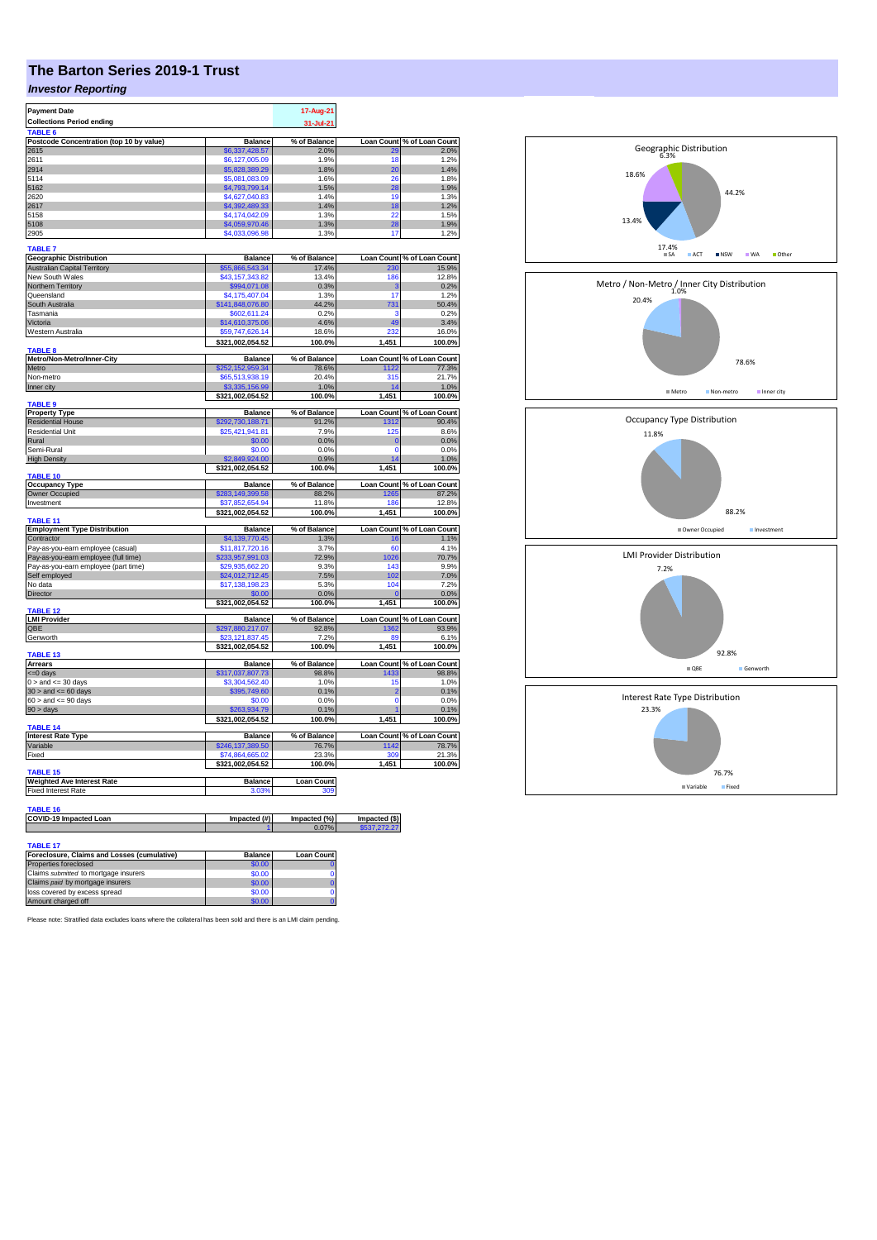# **The Barton Series 2019-1 Trust**

### *Investor Reporting*

| <b>Payment Date</b>                         |                                                   | 17-Aug-21             |                               |                            |
|---------------------------------------------|---------------------------------------------------|-----------------------|-------------------------------|----------------------------|
| <b>Collections Period ending</b>            |                                                   | 31-Jul-21             |                               |                            |
| TABLE 6                                     |                                                   |                       |                               |                            |
| Postcode Concentration (top 10 by value)    | <b>Balance</b>                                    | % of Balance          | <b>Loan Count</b>             | % of Loan Count            |
| 2615                                        | \$6,337,428.57                                    | 2.0%                  |                               | 2.0%                       |
| 2611                                        | \$6,127,005.09                                    | 1.9%                  | 18                            | 1.2%                       |
| 2914                                        | \$5,828,389.29                                    | 1.8%                  | 20                            | 1.4%                       |
| 5114                                        | \$5.081.083.09                                    | 1.6%                  | 26                            | 1.8%                       |
| 5162                                        | \$4,793,799.14                                    | 1.5%                  | 28                            | 1.9%                       |
| 2620                                        | \$4,627,040.83                                    | 1.4%                  | 19                            | 1.3%                       |
| 2617                                        | \$4,392,489.33                                    | 1.4%                  | 18                            | 1.2%                       |
| 5158                                        | \$4,174,042.09                                    | 1.3%                  | 22                            | 1.5%                       |
| 5108                                        | \$4,059,970.46                                    | 1.3%                  | 28                            | 1.9%                       |
| 2905                                        | \$4,033,096.98                                    | 1.3%                  | 17                            | 1.2%                       |
|                                             |                                                   |                       |                               |                            |
| TABLE 7                                     |                                                   |                       |                               |                            |
| <b>Geographic Distribution</b>              | <b>Balance</b>                                    | % of Balance          | <b>Loan Count</b>             | % of Loan Count            |
| <b>Australian Capital Territory</b>         | \$55,866,543.34                                   | 17.4%                 | 230                           | 15.9%                      |
| New South Wales                             | \$43,157,343.82                                   | 13.4%                 | 186                           | 12.8%                      |
| <b>Northern Territory</b>                   | \$994,071.08                                      | 0.3%                  | з                             | 0.2%                       |
| Queensland                                  | \$4,175,407.04                                    | 1.3%                  | 17                            | 1.2%                       |
| South Australia                             | \$141,848,076.80                                  | 44.2%                 | 731                           | 50.4%                      |
| Tasmania                                    | \$602,611.24                                      | 0.2%                  | ä                             | 0.2%                       |
| Victoria                                    | \$14,610,375.06                                   | 4.6%                  | 49                            | 3.4%                       |
| Western Australia                           | \$59,747,626.14                                   | 18.6%                 | 232                           | 16.0%                      |
|                                             | \$321,002,054.52                                  | 100.0%                | 1,451                         | 100.0%                     |
| <b>TABLE 8</b>                              |                                                   |                       |                               |                            |
| Metro/Non-Metro/Inner-City                  | <b>Balance</b>                                    | % of Balance          |                               | Loan Count % of Loan Count |
| Metro                                       | \$252.152.959.34                                  | 78.6%                 | 1122                          | 77.3%                      |
| Non-metro                                   | \$65,513,938.19                                   | 20.4%                 | 315                           | 21.7%                      |
| Inner city                                  | \$3,335,156.9                                     | 1.0%                  |                               | 1.0%                       |
|                                             | \$321,002,054.52                                  | 100.0%                | 1,451                         | 100.0%                     |
| <b>TABLE 9</b>                              |                                                   |                       |                               |                            |
| <b>Property Type</b>                        | <b>Balance</b>                                    | % of Balance          |                               | Loan Count % of Loan Count |
| <b>Residential House</b>                    | 292,730,188.71                                    | 91.2%                 | 1312                          | 90.4%                      |
| <b>Residential Unit</b>                     | \$25,421,941.81                                   | 7.9%                  | 125                           | 8.6%                       |
| Rural                                       | \$0.00                                            | 0.0%                  | $\mathbf 0$                   | 0.0%                       |
| Semi-Rural                                  | \$0.00                                            | 0.0%                  | $\Omega$                      | 0.0%                       |
| <b>High Density</b>                         | \$2,849,924.00                                    | 0.9%                  | 14                            | 1.0%                       |
|                                             | \$321,002,054.52                                  | 100.0%                | 1.451                         | 100.0%                     |
| <b>TABLE 10</b>                             |                                                   |                       |                               |                            |
| <b>Occupancy Type</b>                       | <b>Balance</b>                                    | % of Balance          | <b>Loan Count</b>             | % of Loan Count            |
|                                             |                                                   |                       |                               |                            |
|                                             | \$283.149.399.58                                  | 88.2%                 | 1265                          | 87.2%                      |
| Owner Occupied                              | 37 852 654 94                                     | 11.8%                 | 186                           | 12.8%                      |
| Investment                                  |                                                   |                       |                               |                            |
| TABLE 11                                    | \$321,002,054.52                                  | 100.0%                | 1,451                         | 100.0%                     |
|                                             | <b>Balance</b>                                    | % of Balance          | <b>Loan Count</b>             | % of Loan Count            |
| <b>Employment Type Distribution</b>         | \$4,139,770.45                                    | 1.3%                  | 16                            | 1.1%                       |
| Contractor                                  |                                                   |                       |                               |                            |
| Pay-as-you-earn employee (casual)           | \$11,817,720.16<br>\$233,957,991.03               | 3.7%<br>72.9%         | 60<br>1026                    | 4.1%                       |
| Pay-as-you-earn employee (full time)        |                                                   | 9.3%                  | 143                           | 70.7%<br>9.9%              |
| Pay-as-you-earn employee (part time)        | \$29,935,662.20                                   | 7.5%                  | 102                           |                            |
| Self employed                               | \$24,012,712.45                                   |                       |                               | 7.0%<br>7.2%               |
| No data                                     | \$17,138,198.23                                   | 5.3%                  | 104                           |                            |
| Director                                    | \$0.00                                            | 0.0%                  |                               | 0.0%                       |
| TABLE 12                                    | \$321,002,054.52                                  | 100.0%                | 1.451                         | 100.0%                     |
| <b>LMI Provider</b>                         | <b>Balance</b>                                    | % of Balance          |                               | Loan Count % of Loan Count |
| QBE                                         |                                                   | 92.8%                 | 1362                          | 93.9%                      |
| Genworth                                    | \$297,880,217.0 <mark>7</mark><br>\$23,121,837.45 | 7.2%                  | 89                            | 6.1%                       |
|                                             | \$321,002,054.52                                  | 100.0%                | 1,451                         |                            |
| <b>TABLE 13</b>                             |                                                   |                       |                               | 100.0%                     |
| <b>Arrears</b>                              | <b>Balance</b>                                    | % of Balance          | <b>Loan Count</b>             |                            |
| <= 0 days                                   | \$317,037,807.73                                  | 98.8%                 | 433                           | % of Loan Count<br>98.8%   |
| $0 >$ and $\leq 30$ days                    | \$3,304,562.40                                    | 1.0%                  | 15                            | 1.0%                       |
| $30 >$ and $\leq 60$ days                   | \$395,749.60                                      | 0.1%                  | $\overline{2}$                | 0.1%                       |
| $60 >$ and $\leq 90$ days                   | \$0.00                                            | 0.0%                  | $\Omega$                      | 0.0%                       |
|                                             | \$263.934.79                                      | 0.1%                  | 1                             | 0.1%                       |
| 90 > days                                   |                                                   |                       |                               |                            |
| <b>TABLE 14</b>                             | \$321,002,054.52                                  | 100.0%                | 1,451                         | 100.0%                     |
| <b>Interest Rate Type</b>                   | <b>Balance</b>                                    | % of Balance          |                               | Loan Count % of Loan Count |
| Variable                                    | \$246,137,389.50                                  | 76.7%                 | 1142                          | 78.7%                      |
| Fixed                                       |                                                   | 23.3%                 | 309                           |                            |
|                                             | \$74,864,665.02<br>\$321,002,054.52               | 100.0%                | 1,451                         | 21.3%<br>100.0%            |
| <b>TABLE 15</b>                             |                                                   |                       |                               |                            |
| <b>Weighted Ave Interest Rate</b>           | <b>Balance</b>                                    | Loan Count            |                               |                            |
|                                             | 3.03%                                             | 300                   |                               |                            |
| <b>Fixed Interest Rate</b>                  |                                                   |                       |                               |                            |
| TABLE 16                                    |                                                   |                       |                               |                            |
|                                             |                                                   |                       |                               |                            |
| COVID-19 Impacted Loan                      | Impacted (#)                                      | Impacted (%)<br>0.07% | Impacted (\$)<br>\$537.272.27 |                            |
|                                             |                                                   |                       |                               |                            |
| TABLE 17                                    |                                                   |                       |                               |                            |
| Foreclosure, Claims and Losses (cumulative) | Balance                                           | <b>Loan Count</b>     |                               |                            |

| Foreclosure, Claims and Losses (cumulative) | <b>Balance</b> | <b>Loan Count</b> |
|---------------------------------------------|----------------|-------------------|
| Properties foreclosed                       | \$0.00         |                   |
| Claims submitted to mortgage insurers       | \$0.00         |                   |
| Claims paid by mortgage insurers            | \$0.00         |                   |
| loss covered by excess spread               | \$0.00         |                   |
| Amount charged off                          | \$0.00         |                   |

Please note: Stratified data excludes loans where the collateral has been sold and there is an LMI claim pending.